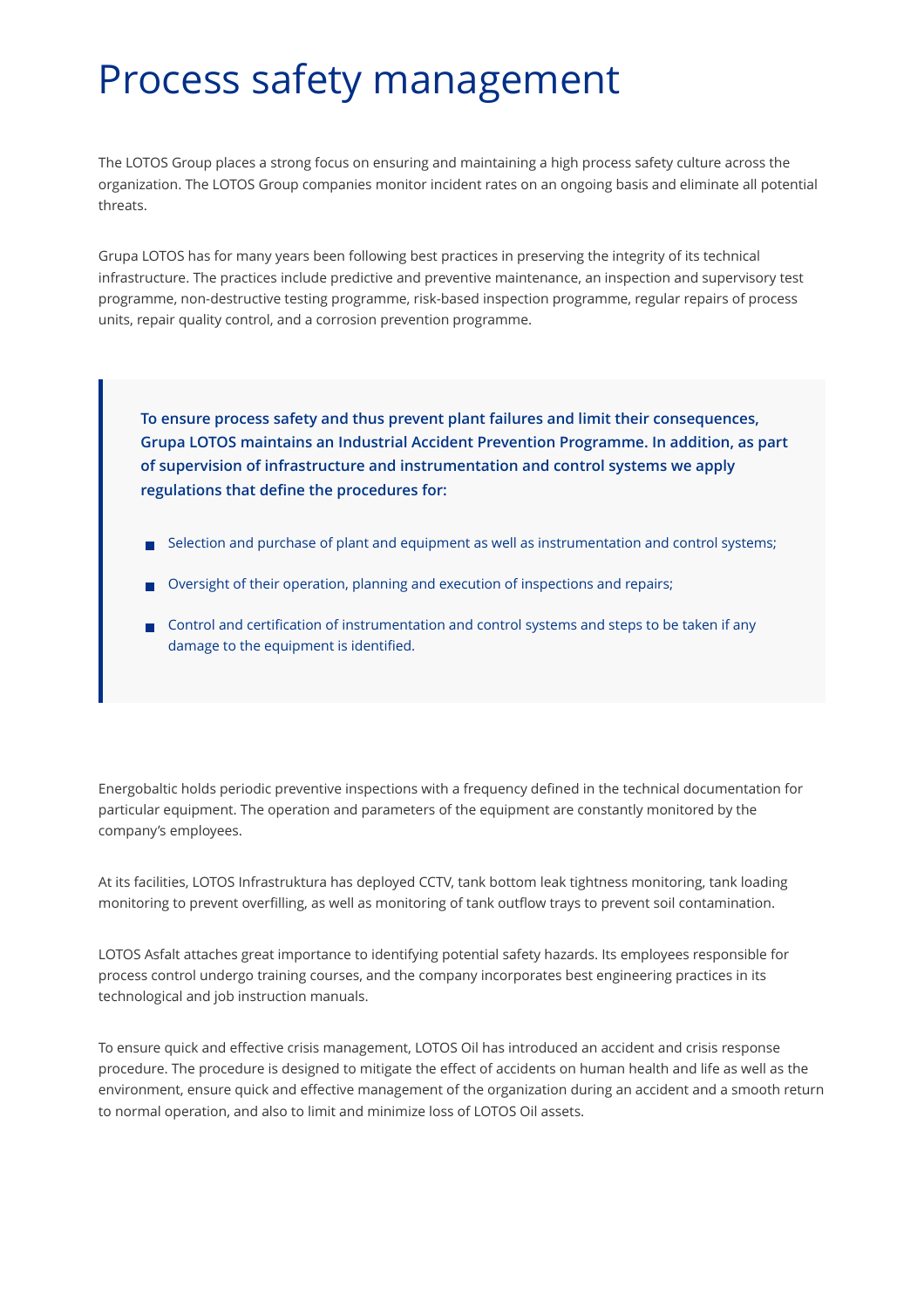## Process safety management

The LOTOS Group places a strong focus on ensuring and maintaining a high process safety culture across the organization. The LOTOS Group companies monitor incident rates on an ongoing basis and eliminate all potential threats.

Grupa LOTOS has for many years been following best practices in preserving the integrity of its technical infrastructure. The practices include predictive and preventive maintenance, an inspection and supervisory test programme, non-destructive testing programme, risk-based inspection programme, regular repairs of process units, repair quality control, and a corrosion prevention programme.

**To ensure process safety and thus prevent plant failures and limit their consequences, Grupa LOTOS maintains an Industrial Accident Prevention Programme. In addition, as part of supervision of infrastructure and instrumentation and control systems we apply regulations that define the procedures for:**

- Selection and purchase of plant and equipment as well as instrumentation and control systems;
- Oversight of their operation, planning and execution of inspections and repairs;
- $\Box$  Control and certification of instrumentation and control systems and steps to be taken if any damage to the equipment is identified.

Energobaltic holds periodic preventive inspections with a frequency defined in the technical documentation for particular equipment. The operation and parameters of the equipment are constantly monitored by the company's employees.

At its facilities, LOTOS Infrastruktura has deployed CCTV, tank bottom leak tightness monitoring, tank loading monitoring to prevent overfilling, as well as monitoring of tank outflow trays to prevent soil contamination.

LOTOS Asfalt attaches great importance to identifying potential safety hazards. Its employees responsible for process control undergo training courses, and the company incorporates best engineering practices in its technological and job instruction manuals.

To ensure quick and effective crisis management, LOTOS Oil has introduced an accident and crisis response procedure. The procedure is designed to mitigate the effect of accidents on human health and life as well as the environment, ensure quick and effective management of the organization during an accident and a smooth return to normal operation, and also to limit and minimize loss of LOTOS Oil assets.